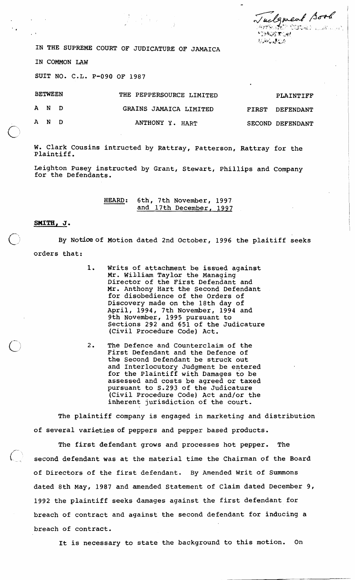Tuelgment Book *<u>STAGETORU</u>* **WANGAPER** 

IN THE SUPREME COURT OF JUDICATURE OF JAMAICA

 $\begin{array}{l} \displaystyle \frac{1}{2} \qquad \qquad \frac{1}{2} \qquad \qquad \frac{1}{2} \qquad \qquad \frac{1}{2} \qquad \qquad \frac{1}{2} \qquad \qquad \frac{1}{2} \qquad \qquad \frac{1}{2} \qquad \qquad \frac{1}{2} \qquad \qquad \frac{1}{2} \qquad \qquad \frac{1}{2} \qquad \qquad \frac{1}{2} \qquad \qquad \frac{1}{2} \qquad \qquad \frac{1}{2} \qquad \qquad \frac{1}{2} \qquad \qquad \frac{1}{2} \qquad \qquad \frac{1}{2} \qquad \qquad \frac$ 

IN COMMON LAW

SUIT NO. C.L. P-090 OF 1987

| <b>BETWEEN</b> |      | THE PEPPERSOURCE LIMITED | PLAINTIFF        |
|----------------|------|--------------------------|------------------|
|                | AND. | GRAINS JAMAICA LIMITED   | FIRST DEFENDANT  |
|                | AND. | ANTHONY Y. HART          | SECOND DEFENDANT |

W. Clark Cousins intructed by Rattray, Patterson, Rattray for the 'Plaintiff.

Leighton Pusey instructed by Grant, Stewart, Phillips and Company for the Defendants.

> HEARD: 6th, 7th November, 1997 and 17th December, 1997

## **SMITH, J.**

By Notice of Motion dated 2nd October, 1996 the plaitiff seeks orders that:

- 1. Writs of attachment be issued against Mr. WiLliam Taylor the Managing Director of the First Defendant and Mr. Anthony Hart the Second Defendant for disobedience of the Orders of Discovery made on the 18th day of April, 1994, 7th November, 1994 and 9th November, 1995 pursuant to Sections 292 and 651 of the Judicature (Civil Procedure Code) Act.
- $2.$ The Defence and Counterclaim of the First Defendant and the Defence of the Second Defendant be struck out and Interlocutory Judgment be entered for the Plaintiff with Damages to be assessed and costs be agreed or taxed pursuant to S.293 of the Judicature (Civil Procedure Code) Act and/or the inherent jurisdiction of the court.

The plaintiff company is engaged in marketing and distribution of several varieties of peppers and pepper based products.

The first defendant grows and processes hot pepper. The second defendant was at the material time the Chairman of the Board of Directors of the first defendant. By Amended Writ of Summons dated 8th May, 1987 and amended Statement of Claim dated December 9, 1992 the plaintiff seeks damages against the first defendant for breach of contract and against the second defendant for inducing a breach of contract.

It is necessary to state the background to this motion. On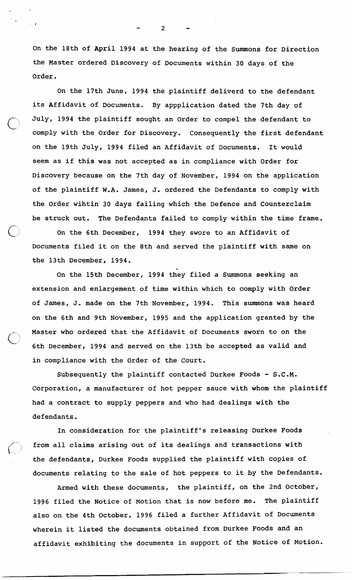On the 18th of April 1994 at the hearing of the Summons for Direction the Master ordered Discovery of Documents within 30 days of the Order.

On the 17th June, 1994 the plaintiff deliverd to the defendant its Affidavit of Documents. By appplication dated the 7th day of July, 1994 the plaintiff sought an Order to compel the defendant to comply with the Order for Discovery. Consequently the first defendant on the 19th July, 1994 filed an Affidavit of Documents. It would seem as if this was not accepted as in compliance with Order for Discovery because on the 7th day of November, 1994 on the application of the plaintiff W.A. James, J. ordered the Defendants to comply with the Order wihtin 30 days failing which the Defence and Counterclaim be struck out. The Defendants failed to comply within the time frame.

On the 6th December, 1994 they swore to an Affidavit of Documents filed it on the 8th and served the plaintiff with same on the 13th December, 1994.<br>On the 15th December, 1994 they filed a Summons seeking an

extension and enlargement of time within which to comply with Order of James, J. made on the 7th November, 1994. This summons was heard on the 6th and 9th November, 1995 and the application granted by the Master who ordered that the Affidavit of Documents sworn to on the 6th December, 1994 and served on the 13th be accepted as valid and in compliance with the Order of the Court.

Subsequently the plaintiff contacted Durkee Foods - S.C.M. Corporation, a manufacturer of hot pepper sauce with whom the plaintiff had a contract to supply peppers and who had dealings with the defendants.

In consideration for the plaintiff's releasing Durkee Foods from all claims arising out of its dealings and transactions with the defendants, Durkee Foods supplied the plaintiff with copies of documents relating to the sale of hot peppers to it by the Defendants.

 $\langle\, , \rangle$ 

Armed with these documents, the plaintiff, on the 2nd October, 1996 filed the Notice of Motion that is now before me. The plaintiff also on the 4th October, 1996 filed a further Affidavit of Documents wherein it listed the documents obtained from Durkee Foods and an affidavit exhibiting the documents in support of the Notice of Motion.

 $\mathbf{z}$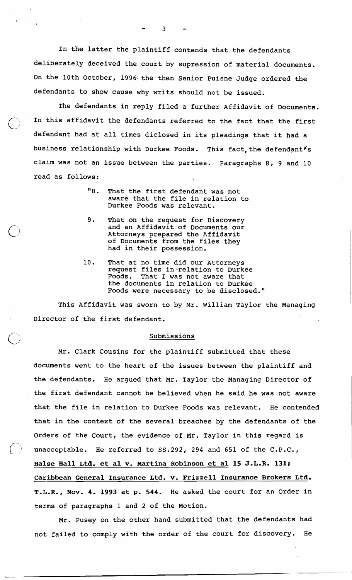In the latter the plaintiff contends that the defendants deliberately deceived the court by supression of material documents. On the 10th October, 1996 the then Senior Puisne Judge ordered the defendants to show cause why writs should not be issued.

The defendants in reply filed a further Affidavit of Documents. In this affidavit the defendants referred to the fact that the first defendant had at all times diclosed in its pleadings that it had a business relationship with Durkee Foods. This fact, the defendant  $s$ claim was not an issue between the parties. Paragraphs 8, 9 and 10 read as follows:

- "8. That the first defendant was not aware that the file in relation to Durkee Foods was relevant.
- 9. That on the request for Discovery and an Affidavit of Documents our Attorneys prepared the Affidavit of Documents from the files they had in their possession.
- 10. That at no time did our Attorneys request files in-relation to Durkee Foods. That I was not aware that the documents in relation to Durkee Foods were necessary to be disclosed."

This Affidavit was sworn to by Mr. William Taylor the Managing Director of the first defendant.

## Submissions

Mr. Clark Cousins for the plaintiff submitted that these documents went to the heart of the issues between the plaintiff and the defendants. He argued that Mr. Taylor the Managing Director of the first defendant cannot be believed when he said he was not aware that the file in relation to Durkee Foods was relevant. He contended that in the context of the several breaches by the defendants of the Orders of the Court, the evidence of Mr. Taylor in this regard is unacceptable. He referred to 55.292, 294 and 651 of the C.P.C., Halse Hall Ltd. et a1 v. Martina Robinson et a1 **15** J.L.R. **131;**  Caribbean General Insurance Ltd. v. Frizzell Insurance Brokers Ltd. T.L.R., Nov. 4. **1993** at **p. 544.** He asked the court for an Order in terms of paragraphs 1 and 2 of the Motion.

Mr. Pusey on the other hand submitted that the defendants had not failed to comply with the order of the court for discovery. He

 $\overline{3}$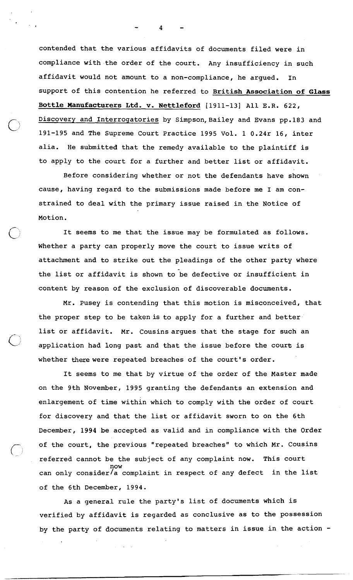contended that the various affidavits of documents filed were in compliance with the order of the court. Any insufficiency in such affidavit would not amount to a non-compliance, he argued. In support of this contention he referred to British Association of Glass Bottle Manufacturers Ltd. v. Nettleford [1911-131 All E.R. 622, Discovery and Interrogatories by Simpson, Bailey and Evans pp.183 and 191-195 and The Supreme Court practice 1995 Vol. 1 0.24r 16, inter alia. He submitted that the remedy available to the plaintiff is to apply to the court for a further and better list or affidavit.

Before considering whether or not the defendants have shown cause, having regard to the submissions made before me I am constrained to deal with the primary issue raised in the Notice of Motion.

It seems to me that the issue may be formulated as follows. Whether a party can properly move the court to issue writs of attachment and to strike out the pleadings of the other party where the list or affidavit is shown to be defective or insufficient in content by reason of the exclusion of discoverable documents.

Mr. Pusey is contending that this motion is misconceived, that the proper step to be taken is to apply for a further and better list or affidavit. Mr. Cousins argues that the stage for such an application had long past and that the issue before the court is whether there were repeated breaches of the court's order.

It seems to me that by virtue of the order of the Master made on the 9th November, 1995 granting the defendants an extension and enlargement of time within which to comply with the order of court for discovery and that the list or affidavit sworn to on the 6th December, 1994 be accepted as valid and in compliance with the Order of the court, the previous "repeated breaches" to which Mr. Cousins referred cannot be the subject of any complaint now. This court now can only consider/a complaint in respect of any defect in the list of the 6th December, 1994.

As a general rule the party's list of documents which is verified by affidavit is regarded as conclusive as to the possession by the party of documents relating to matters in issue in the action -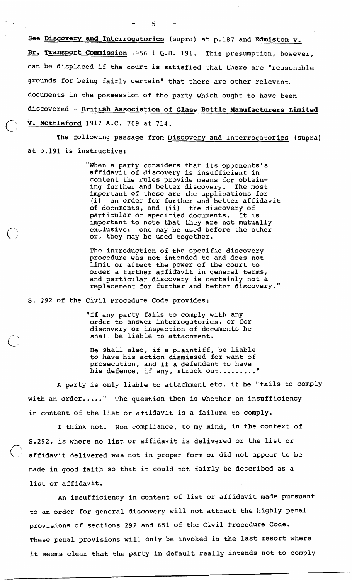See Discovery and Interrogatories (supra) at p.187 and Edmiston v. Br. Transport Commission 1956 1 Q.B. 191. This presumption, however, can be displaced if the court is satisfied that there are "reasonable grounds for being fairly certain" that there are other relevant. documents in the possession of the party which ought to have been discovered - British Association of Glass Bottle Manufacturers Limited v. Nettleford 1912 A.C. 709 at 714.

The following passage from Discovery and Interrogatories (supra) at p.191 is instructive:

> "When a party considers that its opponents's affidavit of discovery is insufficient in content the rules provide means for obtaining further and better discovery. The most important of these are the applications for mportant of these are the applications for<br>i) an order for further and better affidavit (i) an order for further and better affi<br>of documents, and (ii) the discovery of particular or specified documents. It is important to note that they are not mutually exclusive: one may be used before the other or, they may be used together.

The introduction of the specific discovery procedure was not intended to and does not limit or affect the power of the court to order a further affidavit in general terms, and particular discovery is certainly not a replacement for further and better discovery."

S. 292 of the Civil Procedure Code provides:

"If any party fails to comply with any order to answer interrogatories, or for discovery or inspection of documents he shall be liable to attachment.

He shall also, if a plaintiff, be liable to have his action dismissed for want of prosecution, and if a defendant to have his defence, if any, struck out.........

A party is only liable to attachment etc. if he "fails to comply with an order....." The question then is whether an insufficiency in content of the list or affidavit is a failure to comply.

I think not. Non compliance, to my mind, in the context of S.292, is where no list or affidavit is delivered or the list or affidavit delivered was not in proper form or did not appear to be made in good faith so that it could not fairly be described as a list or affidavit.

An insufficiency in content of list or affidavit made pursuant to an order for general discovery will not attract the highly penal provisions of sections 292 and 651 of the Civil Procedure Code. These penal provisions will only be invoked in the last resort where it seems clear that the party in default really intends not to comply

5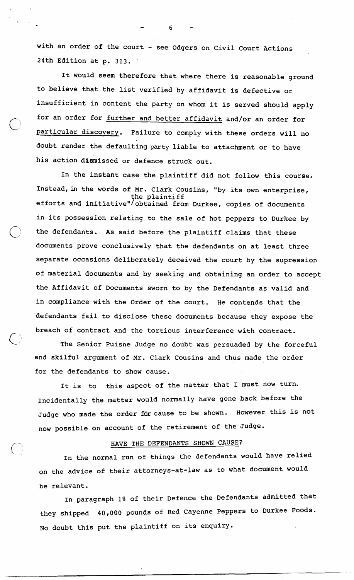with an order of the court - see Odgers on Civil Court Actions 24th Edition at p. 313.

It would seem therefore that where there is reasonable ground to believe that the list verified by affidavit is defective or insufficient in content the party on whom it is served should apply for an order for further and better affidavit and/or an order for particular discovery. Failure to comply with these orders will no doubt render the defaulting party liable to attachment or to have his action dismissed or defence struck out.

In the instant case the plaintiff did not follow this course, Instead,in the words of Mr. Clark Cousins, "by its own enterprise, the plaintiff<br>efforts and initiative"/obtained from Durkee, copies of documents in its possession relating to the sale of hot peppers to Durkee by the defendants. As said before the plaintiff claims that these documents prove conclusively that the defendants on at least three separate occasions deliberately deceived the court by the supression of material documents and by seeking and obtaining an order to accept the Affidavit of Documents sworn to by the Defendants as valid and in compliance with the Order of the court. He contends that the defendants fail to disclose these documents because they expose the breach of contract and the tortious interference with contract.

The Senior Puisne Judge no doubt was persuaded by the forceful and skilful argument of Mr. Clark Cousins and thus made the order for the defendants to show cause.

It is to this aspect of the matter that I must now turn. Incidentally the matter would normally have gone back before the Judge who made the order for cause to be shown. However this is not now possible on account of the retirement of the Judge.

## HAVE THE DEFENDANTS SHOWN CAUSE?

In the normal run of things the defendants would have relied on the advice of their attorneys-at-law as to what document would be relevant.

In paragraph 18 of their Defence the Defendants admitted that they shipped 40,000 pounds of Red Cayenne Peppers to Durkee Foods. No doubt this put the plaintiff on its enquiry.

ŕ.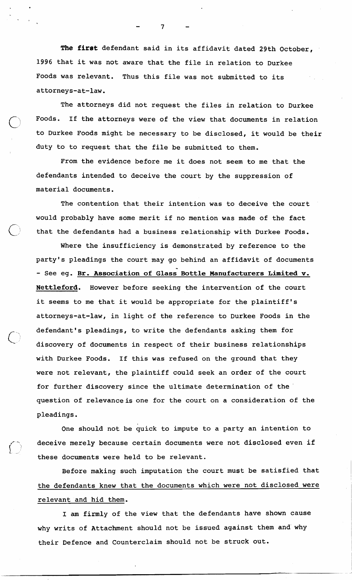The first defendant said in its affidavit dated 29th October, 1996 that it was not aware that the file in relation to Durkee Foods was relevant. Thus this file was not submitted to its attorneys-at-law.

The attorneys did not request the files in relation to Durkee Foods. If the attorneys were of the view that documents in relation to Durkee Foods might be necessary to be disclosed, it would be their duty to to request that the file be submitted to them.

From the evidence before me it does not seem to me that the defendants intended to deceive the court by the suppression of material documents.

The contention that their intention was to deceive the court would probably have some merit if no mention was made of the fact that the defendants had a business relationship with Durkee Foods.

Where the insufficiency is demonstrated by reference to the party's pleadings the court may go behind an affidavit of documents<br>- See eg. <u>Br. Association of Glass Bottle Manufacturers Limited v.</u> Nettleford. However before seeking the intervention of the court it seems to me that it would be appropriate for the plaintiff's attorneys-at-law, in light of the reference to Durkee Foods in the defendant's pleadings, to write the defendants asking them for discovery of documents in respect of their business relationships with Durkee Foods. If this was refused on the ground that they were not relevant, the plaintiff could seek an order of the court for further discovery since the ultimate determination of the ' question of relevance is one for the court on a consideration of the pleadings.

One should not be quick to impute to a party an intention to deceive merely because certain documents were not disclosed even if these documents were held to be relevant.

Before making such imputation the court must be satisfied that the defendants knew that the documents which were not disclosed were relevant and hid them.

I am firmly of the view that the defendants have shown cause why writs of Attachment should not be issued against them and'why their Defence and Counterclaim should not be struck out.

 $\overline{7}$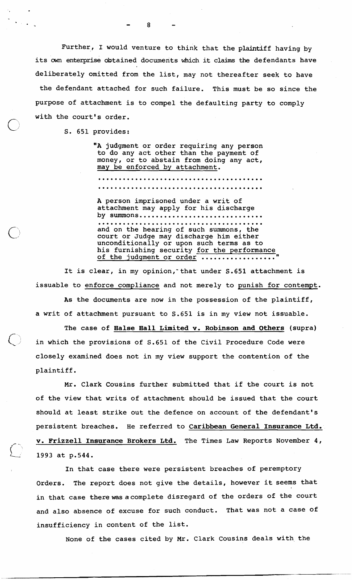Further, I would venture to think that the plaintiff having by its own enterprise obtained documents which it claims the defendants have deliberately omitted from the list, may not thereafter seek to have the defendant attached for such failure. This must be so since the purpose of attachment is to compel the defaulting party to comply with the court's order.

 $\mathbf{R}$ 

S. 651 provides:

 $\overline{\bigcap}$ 

"A judgment or order requiring any person to do any act other than the payment of money, or to abstain from doing any act, may be enforced by attachment. 

A person imprisoned under a writ of attachment may apply for his discharge by summons.............................. ........................................ and on the hearing of such summons, the court or Judge may discharge him either unconditionally or upon such terms as to his furnishing security for the performance of the judgment or order .................."

It is clear, in my opinion, that under S.651 attachment is issuable to enforce compliance and not merely to punish for contempt.

As the documents are now in the possession of the plaintiff, a writ of attachment pursuant to S.651 is in my view not issuable.

The case of **Halse Hall Limited v. Robinson and Others** (supra) in which the provisions of S.651 of the Civil Procedure Code were closely examined does not in my view support the contention of the plaintiff .

Mr. Clark Cousins further submitted that if the court is not of the view that writs of attachment should be issued that the court should at least strike out the defence on account of the defendant's persistent breaches. He referred to Caribbean General Insurance Ltd. **v.** Frizzell Insurance Brokers Ltd. The Times Law Reports November 4, 1993 at p.544.

In that case there were persistent breaches of peremptory Orders. The report does not give the details, however it seems that in that case therewas acomplete disregard of the orders of the court and also absence of excuse for such conduct. That was not a case of insufficiency in content of the list.

None of the cases cited by Mr. Clark Cousins deals with, the